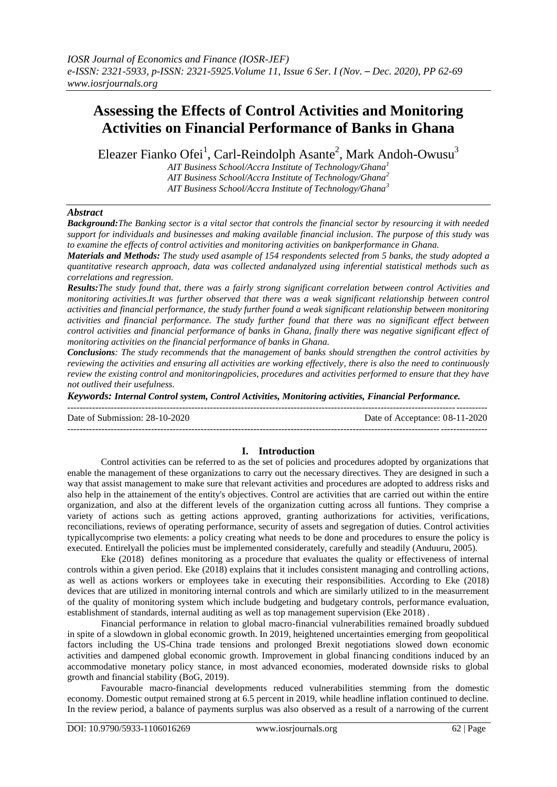# **Assessing the Effects of Control Activities and Monitoring Activities on Financial Performance of Banks in Ghana**

Eleazer Fianko Ofei<sup>1</sup>, Carl-Reindolph Asante<sup>2</sup>, Mark Andoh-Owusu<sup>3</sup>

*AIT Business School/Accra Institute of Technology/Ghana<sup>1</sup> AIT Business School/Accra Institute of Technology/Ghana<sup>2</sup> AIT Business School/Accra Institute of Technology/Ghana<sup>3</sup>*

### *Abstract*

*Background:The Banking sector is a vital sector that controls the financial sector by resourcing it with needed support for individuals and businesses and making available financial inclusion. The purpose of this study was to examine the effects of control activities and monitoring activities on bankperformance in Ghana.* 

*Materials and Methods: The study used asample of 154 respondents selected from 5 banks, the study adopted a quantitative research approach, data was collected andanalyzed using inferential statistical methods such as correlations and regression.* 

*Results:The study found that, there was a fairly strong significant correlation between control Activities and monitoring activities.It was further observed that there was a weak significant relationship between control activities and financial performance, the study further found a weak significant relationship between monitoring activities and financial performance. The study further found that there was no significant effect between control activities and financial performance of banks in Ghana, finally there was negative significant effect of monitoring activities on the financial performance of banks in Ghana.* 

*Conclusions: The study recommends that the management of banks should strengthen the control activities by reviewing the activities and ensuring all activities are working effectively, there is also the need to continuously review the existing control and monitoringpolicies, procedures and activities performed to ensure that they have not outlived their usefulness.*

*Keywords: Internal Control system, Control Activities, Monitoring activities, Financial Performance.*

---------------------------------------------------------------------------------------------------------------------------------------

 $-1\leq i\leq n-1$ 

Date of Submission: 28-10-2020 Date of Acceptance: 08-11-2020

# **I. Introduction**

Control activities can be referred to as the set of policies and procedures adopted by organizations that enable the management of these organizations to carry out the necessary directives. They are designed in such a way that assist management to make sure that relevant activities and procedures are adopted to address risks and also help in the attainement of the entity's objectives. Control are activities that are carried out within the entire organization, and also at the different levels of the organization cutting across all funtions. They comprise a variety of actions such as getting actions approved, granting authorizations for activities, verifications, reconciliations, reviews of operating performance, security of assets and segregation of duties. Control activities typicallycomprise two elements: a policy creating what needs to be done and procedures to ensure the policy is executed. Entirelyall the policies must be implemented considerately, carefully and steadily (Anduuru, 2005).

Eke (2018) defines monitoring as a procedure that evaluates the quality or effectiveness of internal controls within a given period. Eke (2018) explains that it includes consistent managing and controlling actions, as well as actions workers or employees take in executing their responsibilities. According to Eke (2018) devices that are utilized in monitoring internal controls and which are similarly utilized to in the measurrement of the quality of monitoring system which include budgeting and budgetary controls, performance evaluation, establishment of standards, internal auditing as well as top management supervision (Eke 2018) .

Financial performance in relation to global macro-financial vulnerabilities remained broadly subdued in spite of a slowdown in global economic growth. In 2019, heightened uncertainties emerging from geopolitical factors including the US-China trade tensions and prolonged Brexit negotiations slowed down economic activities and dampened global economic growth. Improvement in global financing conditions induced by an accommodative monetary policy stance, in most advanced economies, moderated downside risks to global growth and financial stability (BoG, 2019).

Favourable macro-financial developments reduced vulnerabilities stemming from the domestic economy. Domestic output remained strong at 6.5 percent in 2019, while headline inflation continued to decline. In the review period, a balance of payments surplus was also observed as a result of a narrowing of the current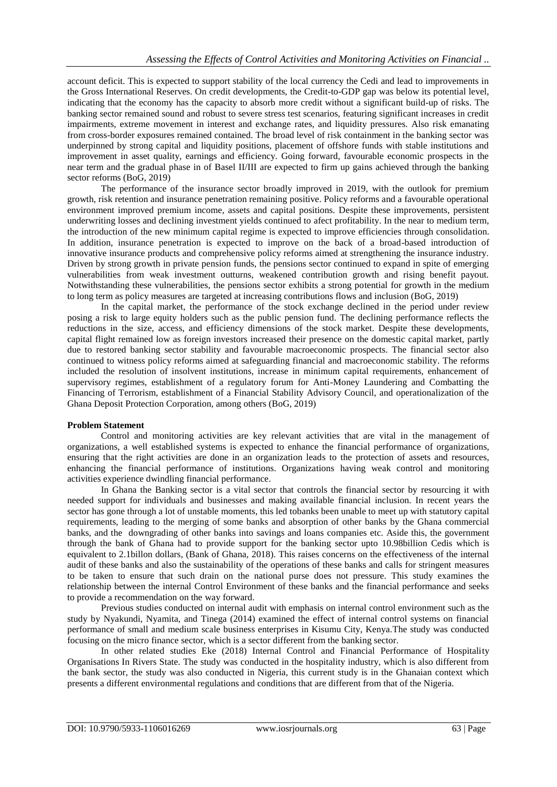account deficit. This is expected to support stability of the local currency the Cedi and lead to improvements in the Gross International Reserves. On credit developments, the Credit-to-GDP gap was below its potential level, indicating that the economy has the capacity to absorb more credit without a significant build-up of risks. The banking sector remained sound and robust to severe stress test scenarios, featuring significant increases in credit impairments, extreme movement in interest and exchange rates, and liquidity pressures. Also risk emanating from cross-border exposures remained contained. The broad level of risk containment in the banking sector was underpinned by strong capital and liquidity positions, placement of offshore funds with stable institutions and improvement in asset quality, earnings and efficiency. Going forward, favourable economic prospects in the near term and the gradual phase in of Basel II/III are expected to firm up gains achieved through the banking sector reforms (BoG, 2019)

The performance of the insurance sector broadly improved in 2019, with the outlook for premium growth, risk retention and insurance penetration remaining positive. Policy reforms and a favourable operational environment improved premium income, assets and capital positions. Despite these improvements, persistent underwriting losses and declining investment yields continued to afect profitability. In the near to medium term, the introduction of the new minimum capital regime is expected to improve efficiencies through consolidation. In addition, insurance penetration is expected to improve on the back of a broad-based introduction of innovative insurance products and comprehensive policy reforms aimed at strengthening the insurance industry. Driven by strong growth in private pension funds, the pensions sector continued to expand in spite of emerging vulnerabilities from weak investment outturns, weakened contribution growth and rising benefit payout. Notwithstanding these vulnerabilities, the pensions sector exhibits a strong potential for growth in the medium to long term as policy measures are targeted at increasing contributions flows and inclusion (BoG, 2019)

In the capital market, the performance of the stock exchange declined in the period under review posing a risk to large equity holders such as the public pension fund. The declining performance reflects the reductions in the size, access, and efficiency dimensions of the stock market. Despite these developments, capital flight remained low as foreign investors increased their presence on the domestic capital market, partly due to restored banking sector stability and favourable macroeconomic prospects. The financial sector also continued to witness policy reforms aimed at safeguarding financial and macroeconomic stability. The reforms included the resolution of insolvent institutions, increase in minimum capital requirements, enhancement of supervisory regimes, establishment of a regulatory forum for Anti-Money Laundering and Combatting the Financing of Terrorism, establishment of a Financial Stability Advisory Council, and operationalization of the Ghana Deposit Protection Corporation, among others (BoG, 2019)

### **Problem Statement**

Control and monitoring activities are key relevant activities that are vital in the management of organizations, a well established systems is expected to enhance the financial performance of organizations, ensuring that the right activities are done in an organization leads to the protection of assets and resources, enhancing the financial performance of institutions. Organizations having weak control and monitoring activities experience dwindling financial performance.

In Ghana the Banking sector is a vital sector that controls the financial sector by resourcing it with needed support for individuals and businesses and making available financial inclusion. In recent years the sector has gone through a lot of unstable moments, this led tobanks been unable to meet up with statutory capital requirements, leading to the merging of some banks and absorption of other banks by the Ghana commercial banks, and the downgrading of other banks into savings and loans companies etc. Aside this, the government through the bank of Ghana had to provide support for the banking sector upto 10.98billion Cedis which is equivalent to 2.1billon dollars, (Bank of Ghana, 2018). This raises concerns on the effectiveness of the internal audit of these banks and also the sustainability of the operations of these banks and calls for stringent measures to be taken to ensure that such drain on the national purse does not pressure. This study examines the relationship between the internal Control Environment of these banks and the financial performance and seeks to provide a recommendation on the way forward.

Previous studies conducted on internal audit with emphasis on internal control environment such as the study by Nyakundi, Nyamita, and Tinega (2014) examined the effect of internal control systems on financial performance of small and medium scale business enterprises in Kisumu City, Kenya.The study was conducted focusing on the micro finance sector, which is a sector different from the banking sector.

In other related studies Eke (2018) Internal Control and Financial Performance of Hospitality Organisations In Rivers State. The study was conducted in the hospitality industry, which is also different from the bank sector, the study was also conducted in Nigeria, this current study is in the Ghanaian context which presents a different environmental regulations and conditions that are different from that of the Nigeria.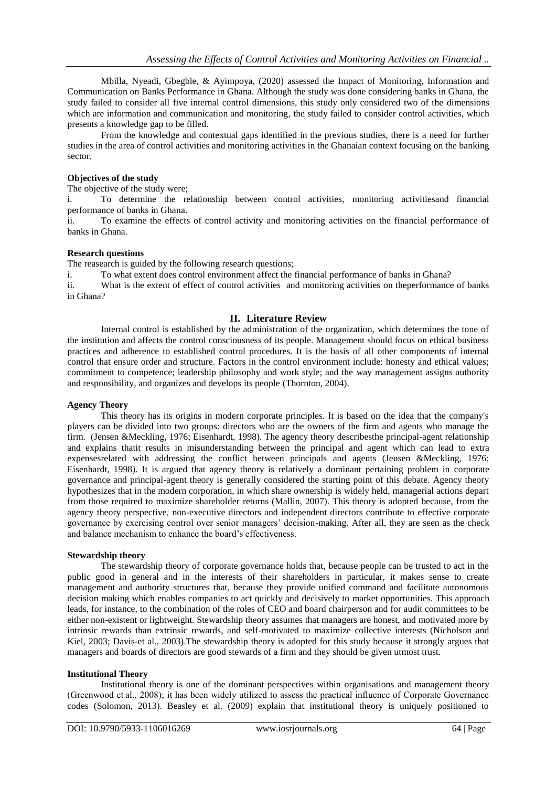Mbilla, Nyeadi, Gbegble, & Ayimpoya, (2020) assessed the Impact of Monitoring, Information and Communication on Banks Performance in Ghana. Although the study was done considering banks in Ghana, the study failed to consider all five internal control dimensions, this study only considered two of the dimensions which are information and communication and monitoring, the study failed to consider control activities, which presents a knowledge gap to be filled.

From the knowledge and contextual gaps identified in the previous studies, there is a need for further studies in the area of control activities and monitoring activities in the Ghanaian context focusing on the banking sector.

### **Objectives of the study**

The objective of the study were;

i. To determine the relationship between control activities, monitoring activitiesand financial performance of banks in Ghana.

ii. To examine the effects of control activity and monitoring activities on the financial performance of banks in Ghana.

#### **Research questions**

The reasearch is guided by the following research questions;

i. To what extent does control environment affect the financial performance of banks in Ghana?

ii. What is the extent of effect of control activities and monitoring activities on theperformance of banks in Ghana?

### **II. Literature Review**

Internal control is established by the administration of the organization, which determines the tone of the institution and affects the control consciousness of its people. Management should focus on ethical business practices and adherence to established control procedures. It is the basis of all other components of internal control that ensure order and structure. Factors in the control environment include: honesty and ethical values; commitment to competence; leadership philosophy and work style; and the way management assigns authority and responsibility, and organizes and develops its people (Thornton, 2004).

### **Agency Theory**

This theory has its origins in modern corporate principles. It is based on the idea that the company's players can be divided into two groups: directors who are the owners of the firm and agents who manage the firm. (Jensen &Meckling, 1976; Eisenhardt, 1998). The agency theory describesthe principal-agent relationship and explains thatit results in misunderstanding between the principal and agent which can lead to extra expenses related with addressing the conflict between principals and agents (Jensen &Meckling, 1976; Eisenhardt, 1998). It is argued that agency theory is relatively a dominant pertaining problem in corporate governance and principal-agent theory is generally considered the starting point of this debate. Agency theory hypothesizes that in the modern corporation, in which share ownership is widely held, managerial actions depart from those required to maximize shareholder returns (Mallin, 2007). This theory is adopted because, from the agency theory perspective, non-executive directors and independent directors contribute to effective corporate governance by exercising control over senior managers' decision-making. After all, they are seen as the check and balance mechanism to enhance the board's effectiveness.

#### **Stewardship theory**

The stewardship theory of corporate governance holds that, because people can be trusted to act in the public good in general and in the interests of their shareholders in particular, it makes sense to create management and authority structures that, because they provide unified command and facilitate autonomous decision making which enables companies to act quickly and decisively to market opportunities. This approach leads, for instance, to the combination of the roles of CEO and board chairperson and for audit committees to be either non-existent or lightweight. Stewardship theory assumes that managers are honest, and motivated more by intrinsic rewards than extrinsic rewards, and self-motivated to maximize collective interests (Nicholson and Kiel, 2003; Davis-et al., 2003).The stewardship theory is adopted for this study because it strongly argues that managers and boards of directors are good stewards of a firm and they should be given utmost trust.

### **Institutional Theory**

Institutional theory is one of the dominant perspectives within organisations and management theory (Greenwood et al., 2008); it has been widely utilized to assess the practical influence of Corporate Governance codes (Solomon, 2013). Beasley et al. (2009) explain that institutional theory is uniquely positioned to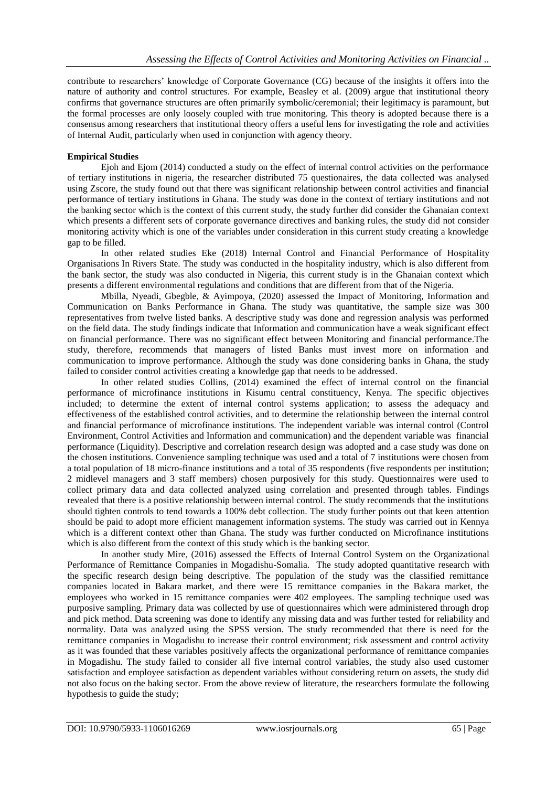contribute to researchers' knowledge of Corporate Governance (CG) because of the insights it offers into the nature of authority and control structures. For example, Beasley et al. (2009) argue that institutional theory confirms that governance structures are often primarily symbolic/ceremonial; their legitimacy is paramount, but the formal processes are only loosely coupled with true monitoring. This theory is adopted because there is a consensus among researchers that institutional theory offers a useful lens for investigating the role and activities of Internal Audit, particularly when used in conjunction with agency theory.

# **Empirical Studies**

Ejoh and Ejom (2014) conducted a study on the effect of internal control activities on the performance of tertiary institutions in nigeria, the researcher distributed 75 questionaires, the data collected was analysed using Zscore, the study found out that there was significant relationship between control activities and financial performance of tertiary institutions in Ghana. The study was done in the context of tertiary institutions and not the banking sector which is the context of this current study, the study further did consider the Ghanaian context which presents a different sets of corporate governance directives and banking rules, the study did not consider monitoring activity which is one of the variables under consideration in this current study creating a knowledge gap to be filled.

In other related studies Eke (2018) Internal Control and Financial Performance of Hospitality Organisations In Rivers State. The study was conducted in the hospitality industry, which is also different from the bank sector, the study was also conducted in Nigeria, this current study is in the Ghanaian context which presents a different environmental regulations and conditions that are different from that of the Nigeria.

Mbilla, Nyeadi, Gbegble, & Ayimpoya, (2020) assessed the Impact of Monitoring, Information and Communication on Banks Performance in Ghana. The study was quantitative, the sample size was 300 representatives from twelve listed banks. A descriptive study was done and regression analysis was performed on the field data. The study findings indicate that Information and communication have a weak significant effect on financial performance. There was no significant effect between Monitoring and financial performance.The study, therefore, recommends that managers of listed Banks must invest more on information and communication to improve performance. Although the study was done considering banks in Ghana, the study failed to consider control activities creating a knowledge gap that needs to be addressed.

In other related studies Collins, (2014) examined the effect of internal control on the financial performance of microfinance institutions in Kisumu central constituency, Kenya. The specific objectives included; to determine the extent of internal control systems application; to assess the adequacy and effectiveness of the established control activities, and to determine the relationship between the internal control and financial performance of microfinance institutions. The independent variable was internal control (Control Environment, Control Activities and Information and communication) and the dependent variable was financial performance (Liquidity). Descriptive and correlation research design was adopted and a case study was done on the chosen institutions. Convenience sampling technique was used and a total of 7 institutions were chosen from a total population of 18 micro-finance institutions and a total of 35 respondents (five respondents per institution; 2 midlevel managers and 3 staff members) chosen purposively for this study. Questionnaires were used to collect primary data and data collected analyzed using correlation and presented through tables. Findings revealed that there is a positive relationship between internal control. The study recommends that the institutions should tighten controls to tend towards a 100% debt collection. The study further points out that keen attention should be paid to adopt more efficient management information systems. The study was carried out in Kennya which is a different context other than Ghana. The study was further conducted on Microfinance institutions which is also different from the context of this study which is the banking sector.

In another study Mire, (2016) assessed the Effects of Internal Control System on the Organizational Performance of Remittance Companies in Mogadishu-Somalia. The study adopted quantitative research with the specific research design being descriptive. The population of the study was the classified remittance companies located in Bakara market, and there were 15 remittance companies in the Bakara market, the employees who worked in 15 remittance companies were 402 employees. The sampling technique used was purposive sampling. Primary data was collected by use of questionnaires which were administered through drop and pick method. Data screening was done to identify any missing data and was further tested for reliability and normality. Data was analyzed using the SPSS version. The study recommended that there is need for the remittance companies in Mogadishu to increase their control environment; risk assessment and control activity as it was founded that these variables positively affects the organizational performance of remittance companies in Mogadishu. The study failed to consider all five internal control variables, the study also used customer satisfaction and employee satisfaction as dependent variables without considering return on assets, the study did not also focus on the baking sector. From the above review of literature, the researchers formulate the following hypothesis to guide the study;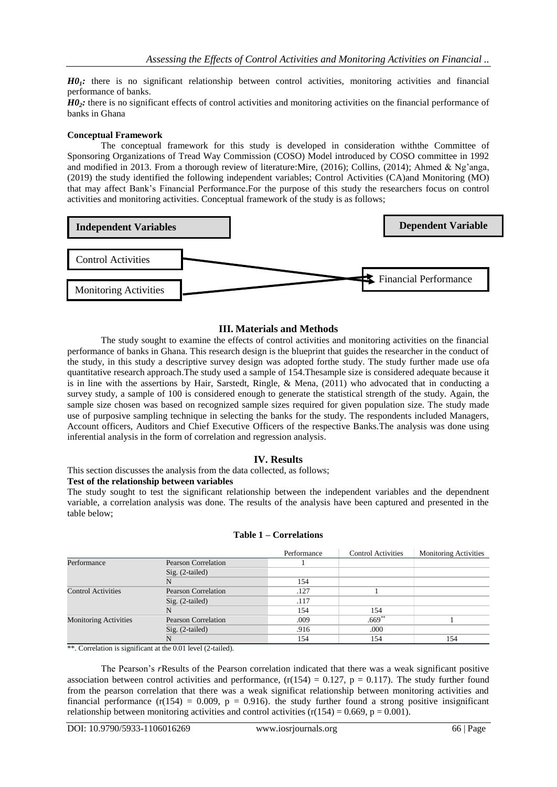*H01:* there is no significant relationship between control activities, monitoring activities and financial performance of banks.

*H02:* there is no significant effects of control activities and monitoring activities on the financial performance of banks in Ghana

### **Conceptual Framework**

The conceptual framework for this study is developed in consideration withthe Committee of Sponsoring Organizations of Tread Way Commission (COSO) Model introduced by COSO committee in 1992 and modified in 2013. From a thorough review of literature:Mire, (2016); Collins, (2014); Ahmed & Ng'anga, (2019) the study identified the following independent variables; Control Activities (CA)and Monitoring (MO) that may affect Bank's Financial Performance.For the purpose of this study the researchers focus on control activities and monitoring activities. Conceptual framework of the study is as follows;



# **III. Materials and Methods**

The study sought to examine the effects of control activities and monitoring activities on the financial performance of banks in Ghana. This research design is the blueprint that guides the researcher in the conduct of the study, in this study a descriptive survey design was adopted forthe study. The study further made use ofa quantitative research approach.The study used a sample of 154.Thesample size is considered adequate because it is in line with the assertions by Hair, Sarstedt, Ringle, & Mena, (2011) who advocated that in conducting a survey study, a sample of 100 is considered enough to generate the statistical strength of the study. Again, the sample size chosen was based on recognized sample sizes required for given population size. The study made use of purposive sampling technique in selecting the banks for the study. The respondents included Managers, Account officers, Auditors and Chief Executive Officers of the respective Banks.The analysis was done using inferential analysis in the form of correlation and regression analysis.

# **IV. Results**

This section discusses the analysis from the data collected, as follows;

### **Test of the relationship between variables**

The study sought to test the significant relationship between the independent variables and the dependnent variable, a correlation analysis was done. The results of the analysis have been captured and presented in the table below;

|                              |                            | Performance | <b>Control Activities</b> | <b>Monitoring Activities</b> |
|------------------------------|----------------------------|-------------|---------------------------|------------------------------|
| Performance                  | Pearson Correlation        |             |                           |                              |
|                              | $Sig. (2-tailed)$          |             |                           |                              |
|                              |                            | 154         |                           |                              |
| <b>Control Activities</b>    | Pearson Correlation        | .127        |                           |                              |
|                              | Sig. (2-tailed)            | .117        |                           |                              |
|                              |                            | 154         | 154                       |                              |
| <b>Monitoring Activities</b> | <b>Pearson Correlation</b> | .009        | $.669**$                  |                              |
|                              | $Sig. (2-tailed)$          | .916        | .000                      |                              |
|                              |                            | 154         | 154                       | 154                          |

\*\*. Correlation is significant at the 0.01 level (2-tailed).

The Pearson's *r*Results of the Pearson correlation indicated that there was a weak significant positive association between control activities and performance,  $(r(154) = 0.127, p = 0.117)$ . The study further found from the pearson correlation that there was a weak significat relationship between monitoring activities and financial performance  $(r(154) = 0.009, p = 0.916)$ . the study further found a strong positive insignificant relationship between monitoring activities and control activities  $(r(154) = 0.669, p = 0.001)$ .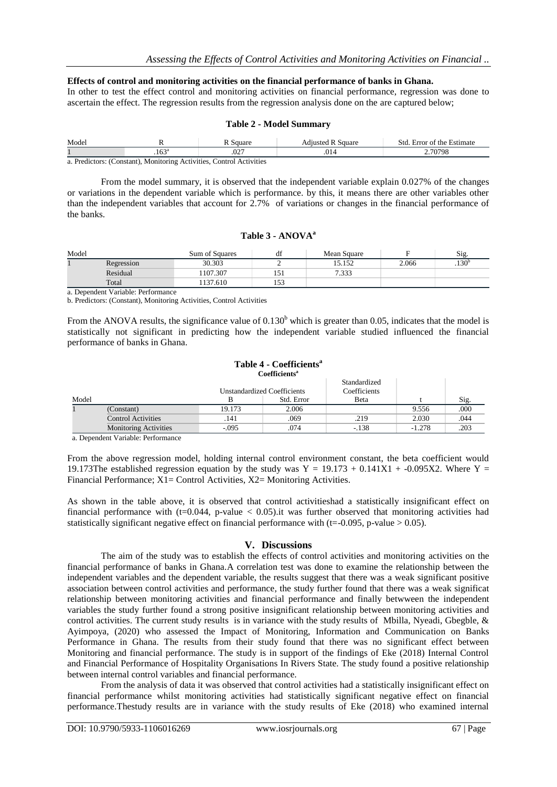### **Effects of control and monitoring activities on the financial performance of banks in Ghana.**

In other to test the effect control and monitoring activities on financial performance, regression was done to ascertain the effect. The regression results from the regression analysis done on the are captured below;

### **Table 2 - Model Summary**

| Model                                                                |                | Square | <b>Adiusted R Square</b> | . Error of the Estimate<br>Std |  |  |
|----------------------------------------------------------------------|----------------|--------|--------------------------|--------------------------------|--|--|
|                                                                      | $.163^{\circ}$ | .027   | .014                     | 70798                          |  |  |
| a. Predictors: (Constant), Monitoring Activities, Control Activities |                |        |                          |                                |  |  |

From the model summary, it is observed that the independent variable explain 0.027% of the changes or variations in the dependent variable which is performance. by this, it means there are other variables other

### **Table 3 - ANOVA<sup>a</sup>**

than the independent variables that account for 2.7% of variations or changes in the financial performance of

| Model  |            | Sum of Squares | df           | Mean Square |       | Sig.              |
|--------|------------|----------------|--------------|-------------|-------|-------------------|
|        | Regression | 30.303         |              | 15.152      | 2.066 | .130 <sup>b</sup> |
|        | Residual   | 107.307        |              | 7.333       |       |                   |
|        | Total      | 137.610        | $  -$<br>133 |             |       |                   |
| $\sim$ | .          |                |              |             |       |                   |

a. Dependent Variable: Performance

the banks.

b. Predictors: (Constant), Monitoring Activities, Control Activities

From the ANOVA results, the significance value of  $0.130<sup>b</sup>$  which is greater than 0.05, indicates that the model is statistically not significant in predicting how the independent variable studied influenced the financial performance of banks in Ghana.

#### **Table 4 - Coefficients<sup>a</sup> Coefficients<sup>a</sup>**

|       |                              | Unstandardized Coefficients |            | Standardized<br>Coefficients |          |      |
|-------|------------------------------|-----------------------------|------------|------------------------------|----------|------|
| Model |                              |                             | Std. Error | <b>B</b> eta                 |          | Sig. |
|       | (Constant)                   | 19.173                      | 2.006      |                              | 9.556    | .000 |
|       | <b>Control Activities</b>    | 141                         | .069       | .219                         | 2.030    | .044 |
|       | <b>Monitoring Activities</b> | $-.095$                     | .074       | $-138$                       | $-1.278$ | .203 |
|       | _ _ _ _ _ _ _                |                             |            |                              |          |      |

a. Dependent Variable: Performance

From the above regression model, holding internal control environment constant, the beta coefficient would 19.173The established regression equation by the study was  $Y = 19.173 + 0.141X1 + 0.095X2$ . Where  $Y = 19.173$ Financial Performance; X1= Control Activities, X2= Monitoring Activities.

As shown in the table above, it is observed that control activitieshad a statistically insignificant effect on financial performance with (t=0.044, p-value  $< 0.05$ ).it was further observed that monitoring activities had statistically significant negative effect on financial performance with ( $t=-0.095$ , p-value  $> 0.05$ ).

### **V. Discussions**

The aim of the study was to establish the effects of control activities and monitoring activities on the financial performance of banks in Ghana.A correlation test was done to examine the relationship between the independent variables and the dependent variable, the results suggest that there was a weak significant positive association between control activities and performance, the study further found that there was a weak significat relationship between monitoring activities and financial performance and finally betwween the independent variables the study further found a strong positive insignificant relationship between monitoring activities and control activities. The current study results is in variance with the study results of Mbilla, Nyeadi, Gbegble, & Ayimpoya, (2020) who assessed the Impact of Monitoring, Information and Communication on Banks Performance in Ghana. The results from their study found that there was no significant effect between Monitoring and financial performance. The study is in support of the findings of Eke (2018) Internal Control and Financial Performance of Hospitality Organisations In Rivers State. The study found a positive relationship between internal control variables and financial performance.

From the analysis of data it was observed that control activities had a statistically insignificant effect on financial performance whilst monitoring activities had statistically significant negative effect on financial performance.Thestudy results are in variance with the study results of Eke (2018) who examined internal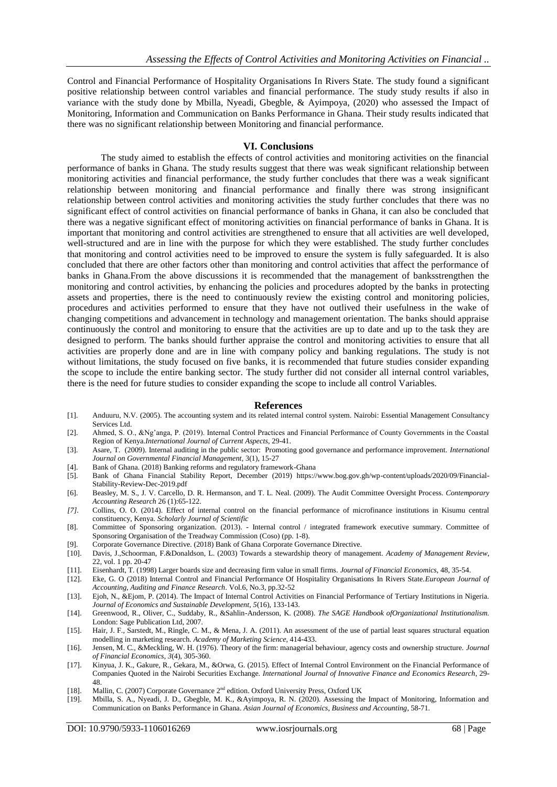Control and Financial Performance of Hospitality Organisations In Rivers State. The study found a significant positive relationship between control variables and financial performance. The study study results if also in variance with the study done by Mbilla, Nyeadi, Gbegble, & Ayimpoya, (2020) who assessed the Impact of Monitoring, Information and Communication on Banks Performance in Ghana. Their study results indicated that there was no significant relationship between Monitoring and financial performance.

### **VI. Conclusions**

The study aimed to establish the effects of control activities and monitoring activities on the financial performance of banks in Ghana. The study results suggest that there was weak significant relationship between monitoring activities and financial performance, the study further concludes that there was a weak significant relationship between monitoring and financial performance and finally there was strong insignificant relationship between control activities and monitoring activities the study further concludes that there was no significant effect of control activities on financial performance of banks in Ghana, it can also be concluded that there was a negative significant effect of monitoring activities on financial performance of banks in Ghana. It is important that monitoring and control activities are strengthened to ensure that all activities are well developed, well-structured and are in line with the purpose for which they were established. The study further concludes that monitoring and control activities need to be improved to ensure the system is fully safeguarded. It is also concluded that there are other factors other than monitoring and control activities that affect the performance of banks in Ghana.From the above discussions it is recommended that the management of banksstrengthen the monitoring and control activities, by enhancing the policies and procedures adopted by the banks in protecting assets and properties, there is the need to continuously review the existing control and monitoring policies, procedures and activities performed to ensure that they have not outlived their usefulness in the wake of changing competitions and advancement in technology and management orientation. The banks should appraise continuously the control and monitoring to ensure that the activities are up to date and up to the task they are designed to perform. The banks should further appraise the control and monitoring activities to ensure that all activities are properly done and are in line with company policy and banking regulations. The study is not without limitations, the study focused on five banks, it is recommended that future studies consider expanding the scope to include the entire banking sector. The study further did not consider all internal control variables, there is the need for future studies to consider expanding the scope to include all control Variables.

#### **References**

- [1]. Anduuru, N.V. (2005). The accounting system and its related internal control system. Nairobi: Essential Management Consultancy Services Ltd.
- [2]. Ahmed, S. O., &Ng'anga, P. (2019). Internal Control Practices and Financial Performance of County Governments in the Coastal Region of Kenya.*International Journal of Current Aspects*, 29-41.
- [3]. Asare, T. (2009). Internal auditing in the public sector: Promoting good governance and performance improvement. *International Journal on Governmental Financial Management*, 3(1), 15-27
- [4]. Bank of Ghana. (2018) Banking reforms and regulatory framework-Ghana<br>[5]. Bank of Ghana Financial Stability Report, December (2019) https://
- [5]. Bank of Ghana Financial Stability Report, December (2019) https://www.bog.gov.gh/wp-content/uploads/2020/09/Financial-Stability-Review-Dec-2019.pdf
- [6]. Beasley, M. S., J. V. Carcello, D. R. Hermanson, and T. L. Neal. (2009). The Audit Committee Oversight Process. *Contemporary Accounting Research* 26 (1):65-122.
- *[7].* Collins, O. O. (2014). Effect of internal control on the financial performance of microfinance institutions in Kisumu central constituency, Kenya. *Scholarly Journal of Scientific*
- [8]. Committee of Sponsoring organization. (2013). Internal control / integrated framework executive summary. Committee of Sponsoring Organisation of the Treadway Commission (Coso) (pp. 1-8).
- [9]. Corporate Governance Directive. (2018) Bank of Ghana Corporate Governance Directive.
- [10]. Davis, J.,Schoorman, F.&Donaldson, L. (2003) Towards a stewardship theory of management. *Academy of Management Review*, 22, vol. 1 pp. 20-47
- [11]. Eisenhardt, T. (1998) Larger boards size and decreasing firm value in small firms. *Journal of Financial Economics*, 48, 35-54.
- [12]. Eke, G. O (2018) Internal Control and Financial Performance Of Hospitality Organisations In Rivers State.*European Journal of Accounting, Auditing and Finance Research*. Vol.6, No.3, pp.32-52
- [13]. Ejoh, N., &Ejom, P. (2014). The Impact of Internal Control Activities on Financial Performance of Tertiary Institutions in Nigeria. *Journal of Economics and Sustainable Development, 5*(16), 133-143.
- [14]. Greenwood, R., Oliver, C., Suddaby, R., &Sahlin-Andersson, K. (2008). *The SAGE Handbook ofOrganizational Institutionalism.*  London: Sage Publication Ltd, 2007.
- [15]. Hair, J. F., Sarstedt, M., Ringle, C. M., & Mena, J. A. (2011). An assessment of the use of partial least squares structural equation modelling in marketing research. *Academy of Marketing Science*, 414-433.
- [16]. Jensen, M. C., &Meckling, W. H. (1976). Theory of the firm: managerial behaviour, agency costs and ownership structure. *Journal of Financial Economics*, *3*(4), 305-360.
- [17]. Kinyua, J. K., Gakure, R., Gekara, M., &Orwa, G. (2015). Effect of Internal Control Environment on the Financial Performance of Companies Quoted in the Nairobi Securities Exchange. *International Journal of Innovative Finance and Economics Research*, 29- 48.
- [18]. Mallin, C. (2007) Corporate Governance 2<sup>nd</sup> edition. Oxford University Press, Oxford UK
- [19]. Mbilla, S. A., Nyeadi, J. D., Gbegble, M. K., &Ayimpoya, R. N. (2020). Assessing the Impact of Monitoring, Information and Communication on Banks Performance in Ghana. *Asian Journal of Economics, Business and Accounting*, 58-71.